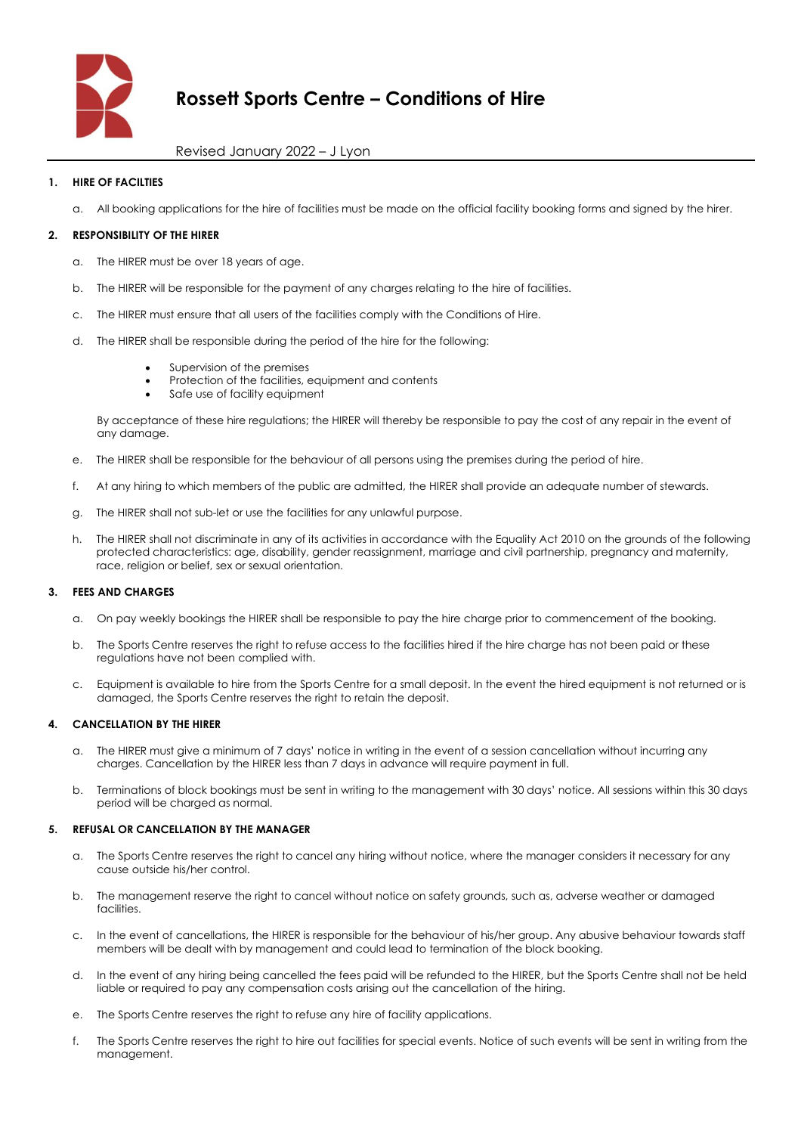

# **Rossett Sports Centre – Conditions of Hire**

# Revised January 2022 – J Lyon

## **1. HIRE OF FACILTIES**

a. All booking applications for the hire of facilities must be made on the official facility booking forms and signed by the hirer.

## **2. RESPONSIBILITY OF THE HIRER**

- a. The HIRER must be over 18 years of age.
- b. The HIRER will be responsible for the payment of any charges relating to the hire of facilities.
- c. The HIRER must ensure that all users of the facilities comply with the Conditions of Hire.
- d. The HIRER shall be responsible during the period of the hire for the following:
	- Supervision of the premises
	- Protection of the facilities, equipment and contents
	- Safe use of facility equipment

By acceptance of these hire regulations; the HIRER will thereby be responsible to pay the cost of any repair in the event of any damage.

- e. The HIRER shall be responsible for the behaviour of all persons using the premises during the period of hire.
- f. At any hiring to which members of the public are admitted, the HIRER shall provide an adequate number of stewards.
- g. The HIRER shall not sub-let or use the facilities for any unlawful purpose.
- h. The HIRER shall not discriminate in any of its activities in accordance with the Equality Act 2010 on the grounds of the following protected characteristics: age, disability, gender reassignment, marriage and civil partnership, pregnancy and maternity, race, religion or belief, sex or sexual orientation.

## **3. FEES AND CHARGES**

- a. On pay weekly bookings the HIRER shall be responsible to pay the hire charge prior to commencement of the booking.
- b. The Sports Centre reserves the right to refuse access to the facilities hired if the hire charge has not been paid or these regulations have not been complied with.
- c. Equipment is available to hire from the Sports Centre for a small deposit. In the event the hired equipment is not returned or is damaged, the Sports Centre reserves the right to retain the deposit.

## **4. CANCELLATION BY THE HIRER**

- a. The HIRER must give a minimum of 7 days' notice in writing in the event of a session cancellation without incurring any charges. Cancellation by the HIRER less than 7 days in advance will require payment in full.
- b. Terminations of block bookings must be sent in writing to the management with 30 days' notice. All sessions within this 30 days period will be charged as normal.

## **5. REFUSAL OR CANCELLATION BY THE MANAGER**

- a. The Sports Centre reserves the right to cancel any hiring without notice, where the manager considers it necessary for any cause outside his/her control.
- b. The management reserve the right to cancel without notice on safety grounds, such as, adverse weather or damaged facilities.
- c. In the event of cancellations, the HIRER is responsible for the behaviour of his/her group. Any abusive behaviour towards staff members will be dealt with by management and could lead to termination of the block booking.
- d. In the event of any hiring being cancelled the fees paid will be refunded to the HIRER, but the Sports Centre shall not be held liable or required to pay any compensation costs arising out the cancellation of the hiring.
- e. The Sports Centre reserves the right to refuse any hire of facility applications.
- f. The Sports Centre reserves the right to hire out facilities for special events. Notice of such events will be sent in writing from the management.